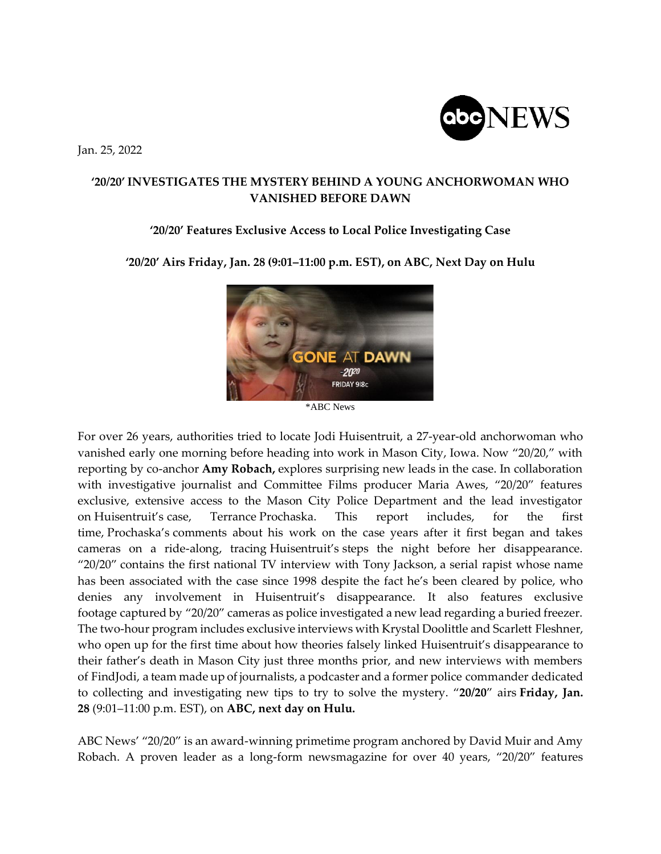Jan. 25, 2022



## **'20/20' INVESTIGATES THE MYSTERY BEHIND A YOUNG ANCHORWOMAN WHO VANISHED BEFORE DAWN**

## **'20/20' Features Exclusive Access to Local Police Investigating Case**

**'20/20' Airs Friday, Jan. 28 (9:01–11:00 p.m. EST), on ABC, Next Day on Hulu**



\*ABC News

For over 26 years, authorities tried to locate Jodi Huisentruit, a 27-year-old anchorwoman who vanished early one morning before heading into work in Mason City, Iowa. Now "20/20," with reporting by co-anchor **Amy Robach,** explores surprising new leads in the case. In collaboration with investigative journalist and Committee Films producer Maria Awes, "20/20" features exclusive, extensive access to the Mason City Police Department and the lead investigator on Huisentruit's case, Terrance Prochaska. This report includes, for the first time, Prochaska's comments about his work on the case years after it first began and takes cameras on a ride-along, tracing Huisentruit's steps the night before her disappearance. " $20/20$ " contains the first national TV interview with Tony Jackson, a serial rapist whose name has been associated with the case since 1998 despite the fact he's been cleared by police, who denies any involvement in Huisentruit's disappearance. It also features exclusive footage captured by "20/20" cameras as police investigated a new lead regarding a buried freezer. The two-hour program includes exclusive interviews with Krystal Doolittle and Scarlett Fleshner, who open up for the first time about how theories falsely linked Huisentruit's disappearance to their father's death in Mason City just three months prior, and new interviews with members of FindJodi, a team made up of journalists, a podcaster and a former police commander dedicated to collecting and investigating new tips to try to solve the mystery. "**20/20**" airs **Friday, Jan. 28** (9:01–11:00 p.m. EST), on **ABC, next day on Hulu.**

ABC News' "20/20" is an award-winning primetime program anchored by David Muir and Amy Robach. A proven leader as a long-form newsmagazine for over 40 years, "20/20" features